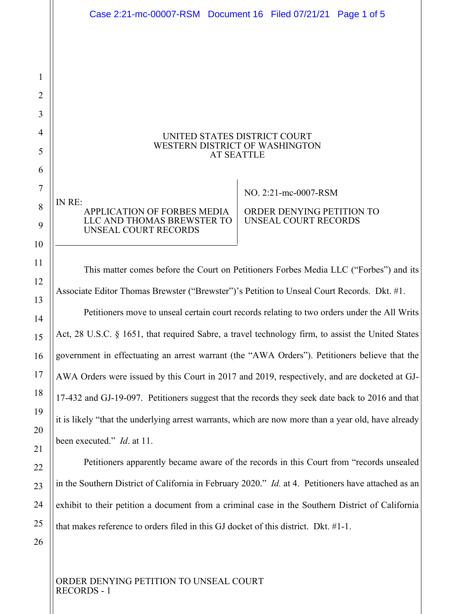UNITED STATES DISTRICT COURT WESTERN DISTRICT OF WASHINGTON AT SEATTLE IN RE: APPLICATION OF FORBES MEDIA LLC AND THOMAS BREWSTER TO UNSEAL COURT RECORDS  $\overline{\phantom{a}}$ NO. 2:21-mc-0007-RSM ORDER DENYING PETITION TO UNSEAL COURT RECORDS This matter comes before the Court on Petitioners Forbes Media LLC ("Forbes") and its Associate Editor Thomas Brewster ("Brewster")'s Petition to Unseal Court Records. Dkt. #1. Petitioners move to unseal certain court records relating to two orders under the All Writs Act, 28 U.S.C. § 1651, that required Sabre, a travel technology firm, to assist the United States government in effectuating an arrest warrant (the "AWA Orders"). Petitioners believe that the AWA Orders were issued by this Court in 2017 and 2019, respectively, and are docketed at GJ-17-432 and GJ-19-097. Petitioners suggest that the records they seek date back to 2016 and that it is likely "that the underlying arrest warrants, which are now more than a year old, have already been executed." *Id*. at 11. Case 2:21-mc-00007-RSM Document 16 Filed 07/21/21 Page 1 of 5

Petitioners apparently became aware of the records in this Court from "records unsealed in the Southern District of California in February 2020." *Id.* at 4. Petitioners have attached as an exhibit to their petition a document from a criminal case in the Southern District of California that makes reference to orders filed in this GJ docket of this district. Dkt. #1-1.

ORDER DENYING PETITION TO UNSEAL COURT RECORDS - 1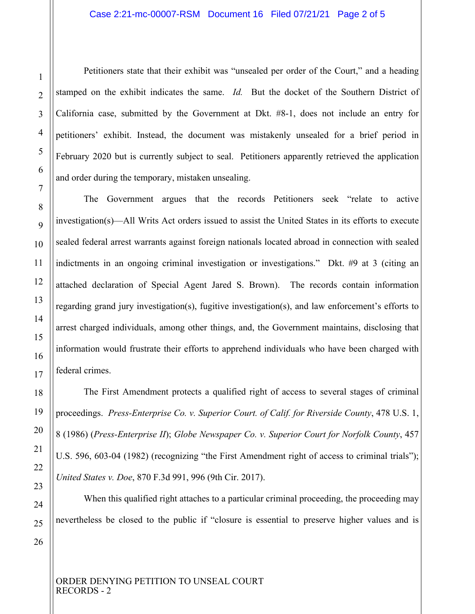## Case 2:21-mc-00007-RSM Document 16 Filed 07/21/21 Page 2 of 5

Petitioners state that their exhibit was "unsealed per order of the Court," and a heading stamped on the exhibit indicates the same. *Id.* But the docket of the Southern District of California case, submitted by the Government at Dkt. #8-1, does not include an entry for petitioners' exhibit. Instead, the document was mistakenly unsealed for a brief period in February 2020 but is currently subject to seal. Petitioners apparently retrieved the application and order during the temporary, mistaken unsealing.

The Government argues that the records Petitioners seek "relate to active investigation(s)—All Writs Act orders issued to assist the United States in its efforts to execute sealed federal arrest warrants against foreign nationals located abroad in connection with sealed indictments in an ongoing criminal investigation or investigations." Dkt. #9 at 3 (citing an attached declaration of Special Agent Jared S. Brown). The records contain information regarding grand jury investigation(s), fugitive investigation(s), and law enforcement's efforts to arrest charged individuals, among other things, and, the Government maintains, disclosing that information would frustrate their efforts to apprehend individuals who have been charged with federal crimes.

The First Amendment protects a qualified right of access to several stages of criminal proceedings. *Press-Enterprise Co. v. Superior Court. of Calif. for Riverside County*, 478 U.S. 1, 8 (1986) (*Press-Enterprise II*); *Globe Newspaper Co. v. Superior Court for Norfolk County*, 457 U.S. 596, 603-04 (1982) (recognizing "the First Amendment right of access to criminal trials"); *United States v. Doe*, 870 F.3d 991, 996 (9th Cir. 2017).

When this qualified right attaches to a particular criminal proceeding, the proceeding may nevertheless be closed to the public if "closure is essential to preserve higher values and is

1

ORDER DENYING PETITION TO UNSEAL COURT RECORDS - 2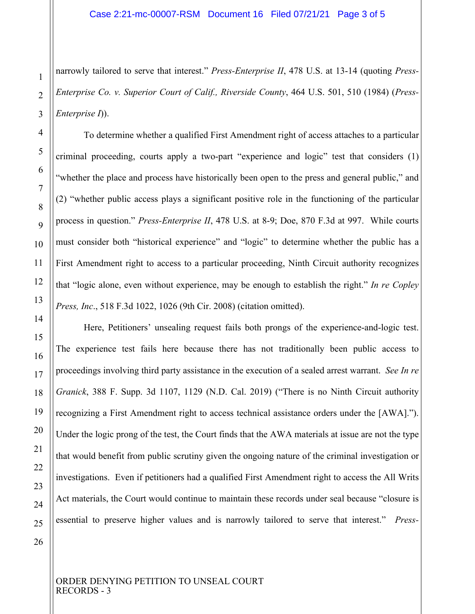narrowly tailored to serve that interest." *Press-Enterprise II*, 478 U.S. at 13-14 (quoting *Press-Enterprise Co. v. Superior Court of Calif., Riverside County*, 464 U.S. 501, 510 (1984) (*Press-Enterprise I*)).

To determine whether a qualified First Amendment right of access attaches to a particular criminal proceeding, courts apply a two-part "experience and logic" test that considers (1) "whether the place and process have historically been open to the press and general public," and (2) "whether public access plays a significant positive role in the functioning of the particular process in question." *Press-Enterprise II*, 478 U.S. at 8-9; Doe, 870 F.3d at 997. While courts must consider both "historical experience" and "logic" to determine whether the public has a First Amendment right to access to a particular proceeding, Ninth Circuit authority recognizes that "logic alone, even without experience, may be enough to establish the right." *In re Copley Press, Inc*., 518 F.3d 1022, 1026 (9th Cir. 2008) (citation omitted).

Here, Petitioners' unsealing request fails both prongs of the experience-and-logic test. The experience test fails here because there has not traditionally been public access to proceedings involving third party assistance in the execution of a sealed arrest warrant. *See In re Granick*, 388 F. Supp. 3d 1107, 1129 (N.D. Cal. 2019) ("There is no Ninth Circuit authority recognizing a First Amendment right to access technical assistance orders under the [AWA]."). Under the logic prong of the test, the Court finds that the AWA materials at issue are not the type that would benefit from public scrutiny given the ongoing nature of the criminal investigation or investigations. Even if petitioners had a qualified First Amendment right to access the All Writs Act materials, the Court would continue to maintain these records under seal because "closure is essential to preserve higher values and is narrowly tailored to serve that interest." *Press-*

1

 $\overline{2}$ 

3

4

5

6

7

8

 $\overline{Q}$ 

10

11

12

13

14

15

16

17

18

19

20

21

22

23

24

25

ORDER DENYING PETITION TO UNSEAL COURT RECORDS - 3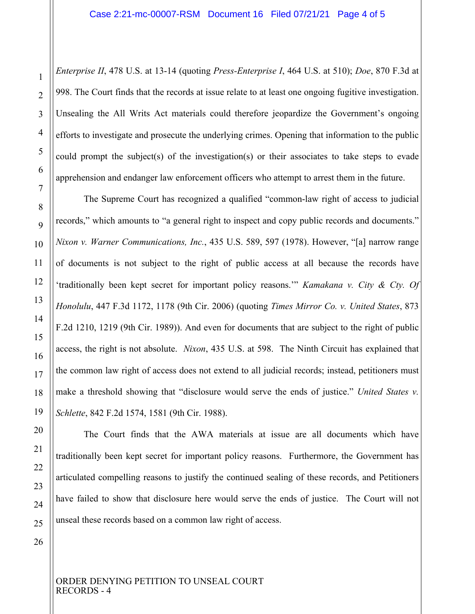*Enterprise II*, 478 U.S. at 13-14 (quoting *Press-Enterprise I*, 464 U.S. at 510); *Doe*, 870 F.3d at 998. The Court finds that the records at issue relate to at least one ongoing fugitive investigation. Unsealing the All Writs Act materials could therefore jeopardize the Government's ongoing efforts to investigate and prosecute the underlying crimes. Opening that information to the public could prompt the subject(s) of the investigation(s) or their associates to take steps to evade apprehension and endanger law enforcement officers who attempt to arrest them in the future.

The Supreme Court has recognized a qualified "common-law right of access to judicial records," which amounts to "a general right to inspect and copy public records and documents." *Nixon v. Warner Communications, Inc.*, 435 U.S. 589, 597 (1978). However, "[a] narrow range of documents is not subject to the right of public access at all because the records have 'traditionally been kept secret for important policy reasons.'" *Kamakana v. City & Cty. Of Honolulu*, 447 F.3d 1172, 1178 (9th Cir. 2006) (quoting *Times Mirror Co. v. United States*, 873 F.2d 1210, 1219 (9th Cir. 1989)). And even for documents that are subject to the right of public access, the right is not absolute. *Nixon*, 435 U.S. at 598. The Ninth Circuit has explained that the common law right of access does not extend to all judicial records; instead, petitioners must make a threshold showing that "disclosure would serve the ends of justice." *United States v. Schlette*, 842 F.2d 1574, 1581 (9th Cir. 1988).

The Court finds that the AWA materials at issue are all documents which have traditionally been kept secret for important policy reasons. Furthermore, the Government has articulated compelling reasons to justify the continued sealing of these records, and Petitioners have failed to show that disclosure here would serve the ends of justice. The Court will not unseal these records based on a common law right of access.

26

1

 $\overline{2}$ 

3

4

5

6

7

8

 $\overline{Q}$ 

10

11

12

13

14

15

16

17

18

19

20

21

22

23

24

25